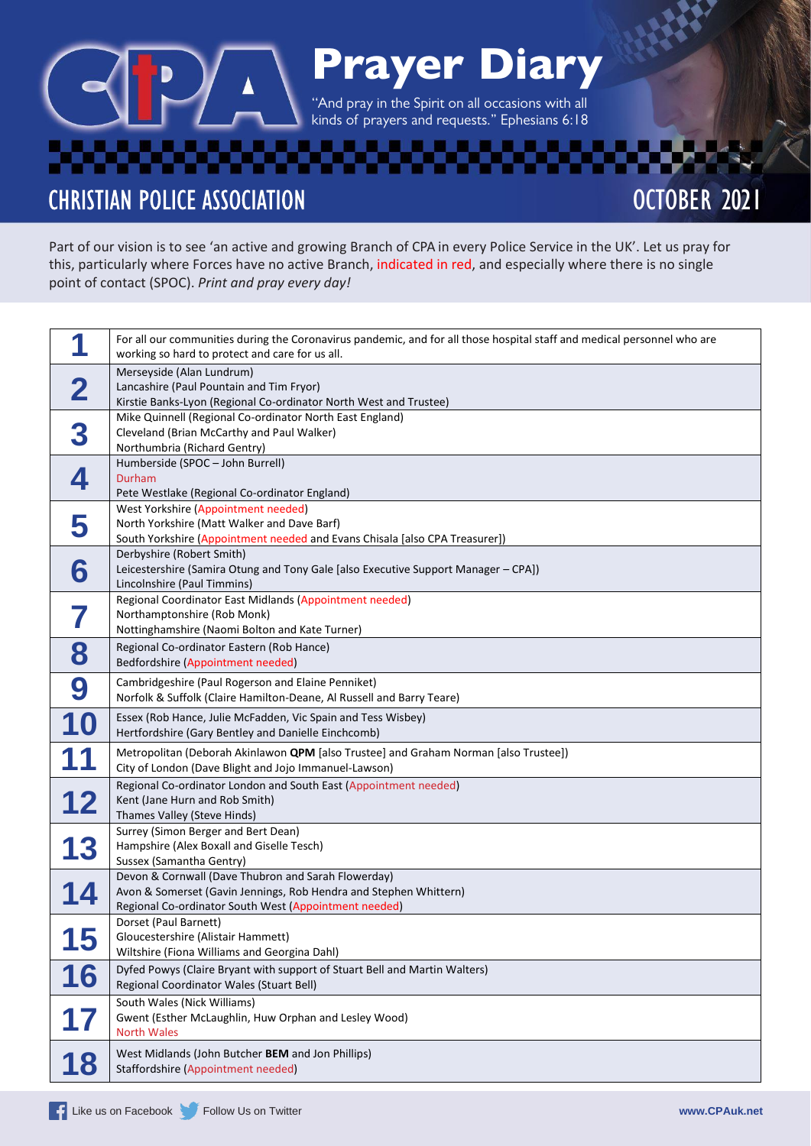# Prayer Diary

''And pray in the Spirit on all occasions with all kinds of prayers and requests." Ephesians 6:18

**CHRISTIAN POLICE ASSOCIATION** 

## OCTOBER 2021

Part of our vision is to see 'an active and growing Branch of CPA in every Police Service in the UK'. Let us pray for this, particularly where Forces have no active Branch, indicated in red, and especially where there is no single point of contact (SPOC). *Print and pray every day!*

| А          | For all our communities during the Coronavirus pandemic, and for all those hospital staff and medical personnel who are<br>working so hard to protect and care for us all.        |
|------------|-----------------------------------------------------------------------------------------------------------------------------------------------------------------------------------|
| 2          | Merseyside (Alan Lundrum)<br>Lancashire (Paul Pountain and Tim Fryor)<br>Kirstie Banks-Lyon (Regional Co-ordinator North West and Trustee)                                        |
| 3          | Mike Quinnell (Regional Co-ordinator North East England)<br>Cleveland (Brian McCarthy and Paul Walker)<br>Northumbria (Richard Gentry)                                            |
| 4          | Humberside (SPOC - John Burrell)<br>Durham<br>Pete Westlake (Regional Co-ordinator England)                                                                                       |
| 5          | West Yorkshire (Appointment needed)<br>North Yorkshire (Matt Walker and Dave Barf)<br>South Yorkshire (Appointment needed and Evans Chisala [also CPA Treasurer])                 |
| 6          | Derbyshire (Robert Smith)<br>Leicestershire (Samira Otung and Tony Gale [also Executive Support Manager - CPA])<br>Lincolnshire (Paul Timmins)                                    |
|            | Regional Coordinator East Midlands (Appointment needed)<br>Northamptonshire (Rob Monk)<br>Nottinghamshire (Naomi Bolton and Kate Turner)                                          |
| 8          | Regional Co-ordinator Eastern (Rob Hance)<br>Bedfordshire (Appointment needed)                                                                                                    |
| 9          | Cambridgeshire (Paul Rogerson and Elaine Penniket)<br>Norfolk & Suffolk (Claire Hamilton-Deane, Al Russell and Barry Teare)                                                       |
| 10         | Essex (Rob Hance, Julie McFadden, Vic Spain and Tess Wisbey)<br>Hertfordshire (Gary Bentley and Danielle Einchcomb)                                                               |
|            | Metropolitan (Deborah Akinlawon QPM [also Trustee] and Graham Norman [also Trustee])<br>City of London (Dave Blight and Jojo Immanuel-Lawson)                                     |
| 12         | Regional Co-ordinator London and South East (Appointment needed)<br>Kent (Jane Hurn and Rob Smith)<br>Thames Valley (Steve Hinds)                                                 |
| 13         | Surrey (Simon Berger and Bert Dean)<br>Hampshire (Alex Boxall and Giselle Tesch)<br>Sussex (Samantha Gentry)                                                                      |
| 14         | Devon & Cornwall (Dave Thubron and Sarah Flowerday)<br>Avon & Somerset (Gavin Jennings, Rob Hendra and Stephen Whittern)<br>Regional Co-ordinator South West (Appointment needed) |
| 4 E<br>L J | Dorset (Paul Barnett)<br>Gloucestershire (Alistair Hammett)<br>Wiltshire (Fiona Williams and Georgina Dahl)                                                                       |
| 16         | Dyfed Powys (Claire Bryant with support of Stuart Bell and Martin Walters)<br>Regional Coordinator Wales (Stuart Bell)                                                            |
|            | South Wales (Nick Williams)<br>Gwent (Esther McLaughlin, Huw Orphan and Lesley Wood)<br><b>North Wales</b>                                                                        |
| 18         | West Midlands (John Butcher BEM and Jon Phillips)<br>Staffordshire (Appointment needed)                                                                                           |